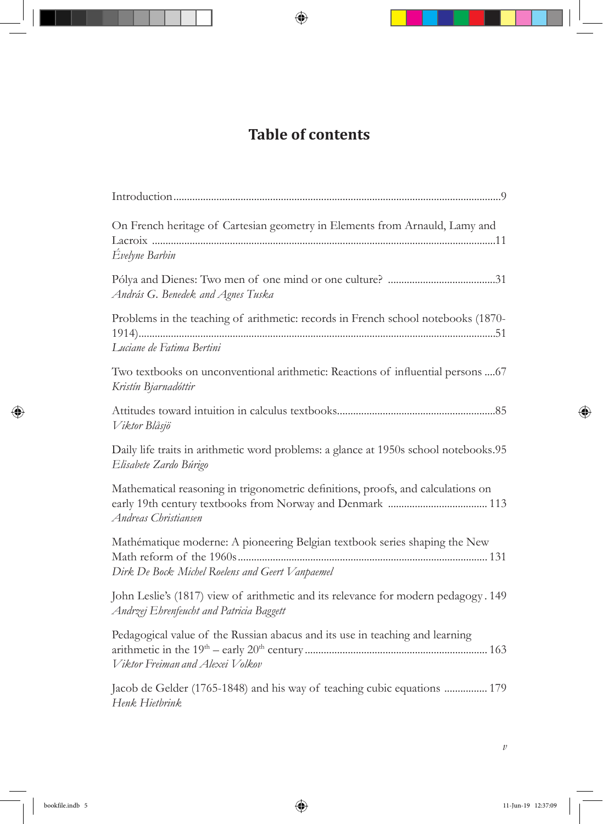## **Table of contents**

| On French heritage of Cartesian geometry in Elements from Arnauld, Lamy and<br>Évelyne Barbin                                  |
|--------------------------------------------------------------------------------------------------------------------------------|
| András G. Benedek and Agnes Tuska                                                                                              |
| Problems in the teaching of arithmetic: records in French school notebooks (1870-<br>Luciane de Fatima Bertini                 |
| Two textbooks on unconventional arithmetic: Reactions of influential persons  67<br>Kristín Bjarnadóttir                       |
| Viktor Blåsjö                                                                                                                  |
| Daily life traits in arithmetic word problems: a glance at 1950s school notebooks.95<br>Elisabete Zardo Búrigo                 |
| Mathematical reasoning in trigonometric definitions, proofs, and calculations on<br>Andreas Christiansen                       |
| Mathématique moderne: A pioneering Belgian textbook series shaping the New<br>Dirk De Bock Michel Roelens and Geert Vanpaemel  |
| John Leslie's (1817) view of arithmetic and its relevance for modern pedagogy. 149<br>Andrzej Ehrenfeucht and Patricia Baggett |
| Pedagogical value of the Russian abacus and its use in teaching and learning<br>Viktor Freiman and Alexei Volkov               |
| Jacob de Gelder (1765-1848) and his way of teaching cubic equations  179<br>Henk Hietbrink                                     |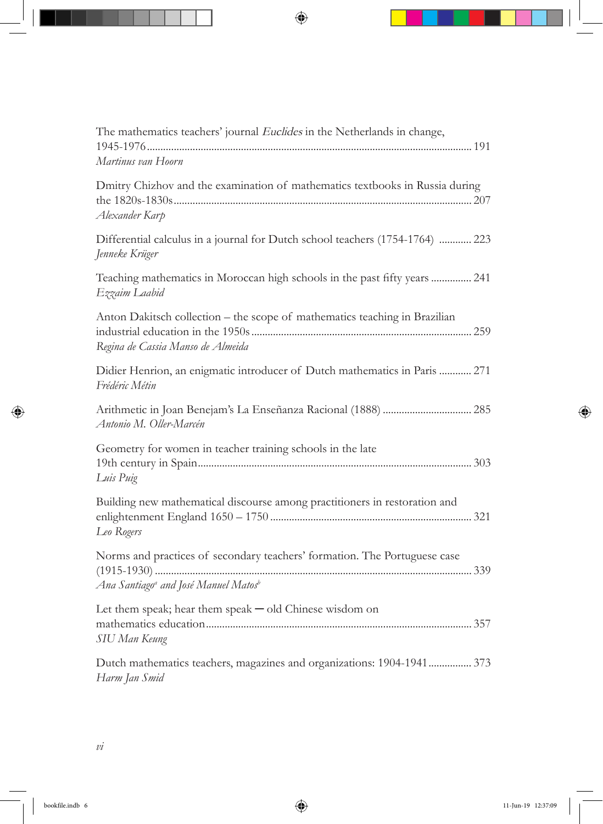| The mathematics teachers' journal Euclides in the Netherlands in change,                                                                  |
|-------------------------------------------------------------------------------------------------------------------------------------------|
| Martinus van Hoorn                                                                                                                        |
| Dmitry Chizhov and the examination of mathematics textbooks in Russia during<br>Alexander Karp                                            |
| Differential calculus in a journal for Dutch school teachers (1754-1764)  223<br>Jenneke Krüger                                           |
| Teaching mathematics in Moroccan high schools in the past fifty years  241<br>Ezzaim Laabid                                               |
| Anton Dakitsch collection - the scope of mathematics teaching in Brazilian<br>Regina de Cassia Manso de Almeida                           |
| Didier Henrion, an enigmatic introducer of Dutch mathematics in Paris  271<br>Frédéric Métin                                              |
| Antonio M. Oller-Marcén                                                                                                                   |
| Geometry for women in teacher training schools in the late<br>Luis Puig                                                                   |
| Building new mathematical discourse among practitioners in restoration and<br>Leo Rogers                                                  |
| Norms and practices of secondary teachers' formation. The Portuguese case<br>Ana Santiago <sup>a</sup> and José Manuel Matos <sup>b</sup> |
| Let them speak; hear them speak $-$ old Chinese wisdom on<br>SIU Man Keung                                                                |
| Dutch mathematics teachers, magazines and organizations: 1904-1941 373<br>Harm Jan Smid                                                   |